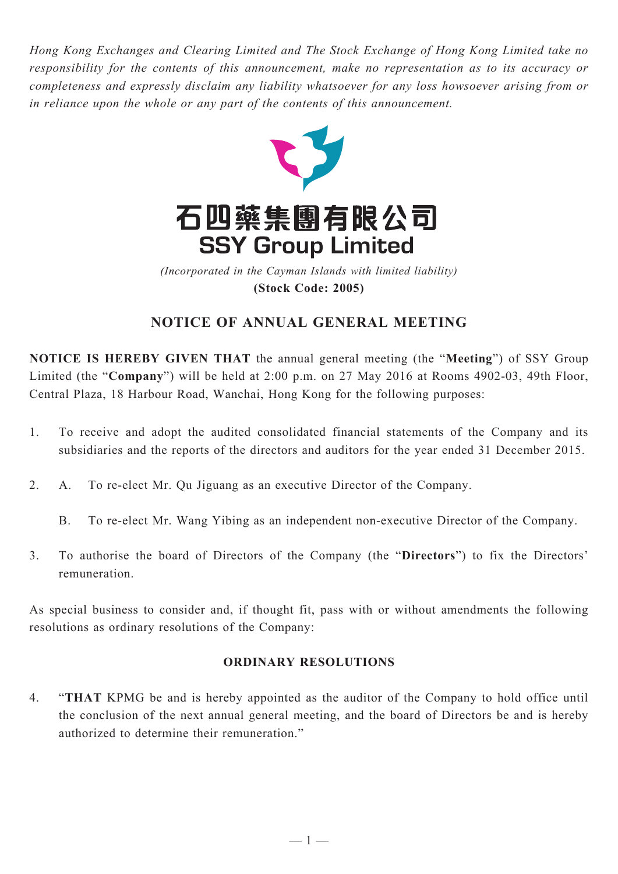*Hong Kong Exchanges and Clearing Limited and The Stock Exchange of Hong Kong Limited take no responsibility for the contents of this announcement, make no representation as to its accuracy or completeness and expressly disclaim any liability whatsoever for any loss howsoever arising from or in reliance upon the whole or any part of the contents of this announcement.*



**(Stock Code: 2005)** *(Incorporated in the Cayman Islands with limited liability)* 

# **Notice of Annual General Meeting**

**NOTICE IS HEREBY GIVEN THAT** the annual general meeting (the "**Meeting**") of SSY Group Limited (the "**Company**") will be held at 2:00 p.m. on 27 May 2016 at Rooms 4902-03, 49th Floor, Central Plaza, 18 Harbour Road, Wanchai, Hong Kong for the following purposes:

- 1. To receive and adopt the audited consolidated financial statements of the Company and its subsidiaries and the reports of the directors and auditors for the year ended 31 December 2015.
- 2. A. To re-elect Mr. Qu Jiguang as an executive Director of the Company.
	- B. To re-elect Mr. Wang Yibing as an independent non-executive Director of the Company.
- 3. To authorise the board of Directors of the Company (the "**Directors**") to fix the Directors' remuneration.

As special business to consider and, if thought fit, pass with or without amendments the following resolutions as ordinary resolutions of the Company:

### **ORDINARY RESOLUTIONS**

4. "**THAT** KPMG be and is hereby appointed as the auditor of the Company to hold office until the conclusion of the next annual general meeting, and the board of Directors be and is hereby authorized to determine their remuneration."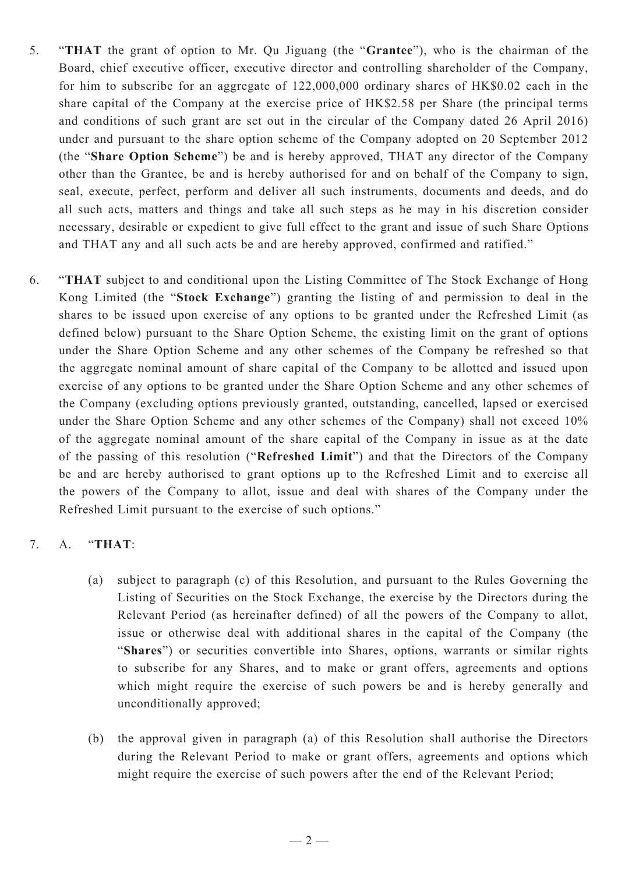- 5. "**THAT** the grant of option to Mr. Qu Jiguang (the "**Grantee**"), who is the chairman of the Board, chief executive officer, executive director and controlling shareholder of the Company, for him to subscribe for an aggregate of 122,000,000 ordinary shares of HK\$0.02 each in the share capital of the Company at the exercise price of HK\$2.58 per Share (the principal terms and conditions of such grant are set out in the circular of the Company dated 26 April 2016) under and pursuant to the share option scheme of the Company adopted on 20 September 2012 (the "**Share Option Scheme**") be and is hereby approved, THAT any director of the Company other than the Grantee, be and is hereby authorised for and on behalf of the Company to sign, seal, execute, perfect, perform and deliver all such instruments, documents and deeds, and do all such acts, matters and things and take all such steps as he may in his discretion consider necessary, desirable or expedient to give full effect to the grant and issue of such Share Options and THAT any and all such acts be and are hereby approved, confirmed and ratified."
- 6. "**THAT** subject to and conditional upon the Listing Committee of The Stock Exchange of Hong Kong Limited (the "**Stock Exchange**") granting the listing of and permission to deal in the shares to be issued upon exercise of any options to be granted under the Refreshed Limit (as defined below) pursuant to the Share Option Scheme, the existing limit on the grant of options under the Share Option Scheme and any other schemes of the Company be refreshed so that the aggregate nominal amount of share capital of the Company to be allotted and issued upon exercise of any options to be granted under the Share Option Scheme and any other schemes of the Company (excluding options previously granted, outstanding, cancelled, lapsed or exercised under the Share Option Scheme and any other schemes of the Company) shall not exceed 10% of the aggregate nominal amount of the share capital of the Company in issue as at the date of the passing of this resolution ("**Refreshed Limit**") and that the Directors of the Company be and are hereby authorised to grant options up to the Refreshed Limit and to exercise all the powers of the Company to allot, issue and deal with shares of the Company under the Refreshed Limit pursuant to the exercise of such options."

### 7. A. "**THAT**:

- (a) subject to paragraph (c) of this Resolution, and pursuant to the Rules Governing the Listing of Securities on the Stock Exchange, the exercise by the Directors during the Relevant Period (as hereinafter defined) of all the powers of the Company to allot, issue or otherwise deal with additional shares in the capital of the Company (the "**Shares**") or securities convertible into Shares, options, warrants or similar rights to subscribe for any Shares, and to make or grant offers, agreements and options which might require the exercise of such powers be and is hereby generally and unconditionally approved;
- (b) the approval given in paragraph (a) of this Resolution shall authorise the Directors during the Relevant Period to make or grant offers, agreements and options which might require the exercise of such powers after the end of the Relevant Period;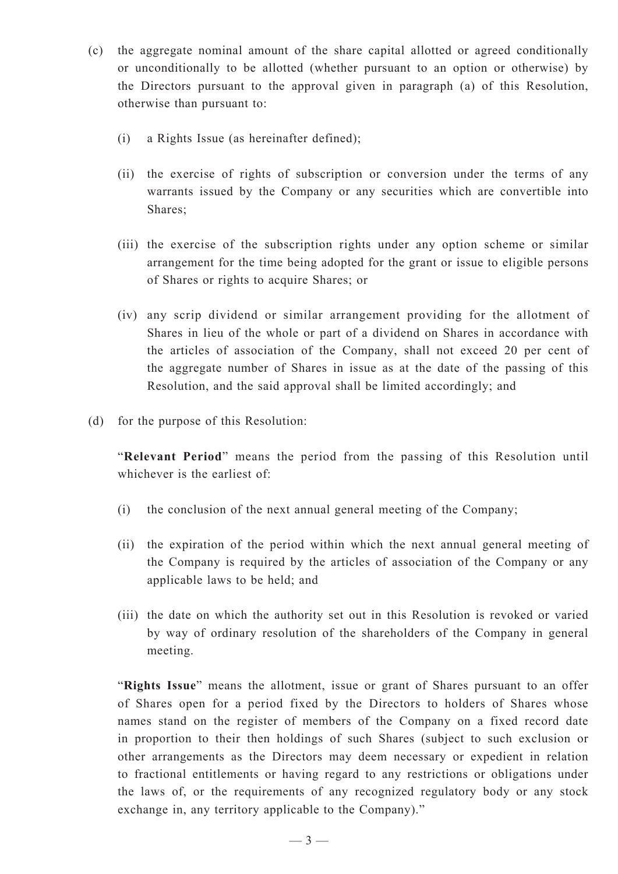- (c) the aggregate nominal amount of the share capital allotted or agreed conditionally or unconditionally to be allotted (whether pursuant to an option or otherwise) by the Directors pursuant to the approval given in paragraph (a) of this Resolution, otherwise than pursuant to:
	- (i) a Rights Issue (as hereinafter defined);
	- (ii) the exercise of rights of subscription or conversion under the terms of any warrants issued by the Company or any securities which are convertible into Shares;
	- (iii) the exercise of the subscription rights under any option scheme or similar arrangement for the time being adopted for the grant or issue to eligible persons of Shares or rights to acquire Shares; or
	- (iv) any scrip dividend or similar arrangement providing for the allotment of Shares in lieu of the whole or part of a dividend on Shares in accordance with the articles of association of the Company, shall not exceed 20 per cent of the aggregate number of Shares in issue as at the date of the passing of this Resolution, and the said approval shall be limited accordingly; and
- (d) for the purpose of this Resolution:

"**Relevant Period**" means the period from the passing of this Resolution until whichever is the earliest of

- (i) the conclusion of the next annual general meeting of the Company;
- (ii) the expiration of the period within which the next annual general meeting of the Company is required by the articles of association of the Company or any applicable laws to be held; and
- (iii) the date on which the authority set out in this Resolution is revoked or varied by way of ordinary resolution of the shareholders of the Company in general meeting.

"**Rights Issue**" means the allotment, issue or grant of Shares pursuant to an offer of Shares open for a period fixed by the Directors to holders of Shares whose names stand on the register of members of the Company on a fixed record date in proportion to their then holdings of such Shares (subject to such exclusion or other arrangements as the Directors may deem necessary or expedient in relation to fractional entitlements or having regard to any restrictions or obligations under the laws of, or the requirements of any recognized regulatory body or any stock exchange in, any territory applicable to the Company)."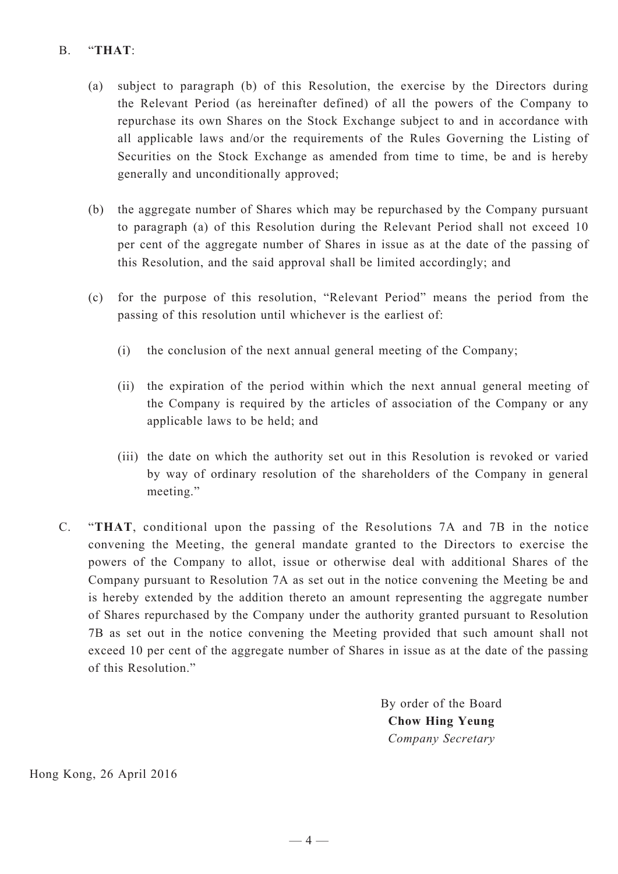## B. "**THAT**:

- (a) subject to paragraph (b) of this Resolution, the exercise by the Directors during the Relevant Period (as hereinafter defined) of all the powers of the Company to repurchase its own Shares on the Stock Exchange subject to and in accordance with all applicable laws and/or the requirements of the Rules Governing the Listing of Securities on the Stock Exchange as amended from time to time, be and is hereby generally and unconditionally approved;
- (b) the aggregate number of Shares which may be repurchased by the Company pursuant to paragraph (a) of this Resolution during the Relevant Period shall not exceed 10 per cent of the aggregate number of Shares in issue as at the date of the passing of this Resolution, and the said approval shall be limited accordingly; and
- (c) for the purpose of this resolution, "Relevant Period" means the period from the passing of this resolution until whichever is the earliest of:
	- (i) the conclusion of the next annual general meeting of the Company;
	- (ii) the expiration of the period within which the next annual general meeting of the Company is required by the articles of association of the Company or any applicable laws to be held; and
	- (iii) the date on which the authority set out in this Resolution is revoked or varied by way of ordinary resolution of the shareholders of the Company in general meeting."
- C. "**THAT**, conditional upon the passing of the Resolutions 7A and 7B in the notice convening the Meeting, the general mandate granted to the Directors to exercise the powers of the Company to allot, issue or otherwise deal with additional Shares of the Company pursuant to Resolution 7A as set out in the notice convening the Meeting be and is hereby extended by the addition thereto an amount representing the aggregate number of Shares repurchased by the Company under the authority granted pursuant to Resolution 7B as set out in the notice convening the Meeting provided that such amount shall not exceed 10 per cent of the aggregate number of Shares in issue as at the date of the passing of this Resolution."

By order of the Board **Chow Hing Yeung** *Company Secretary*

Hong Kong, 26 April 2016